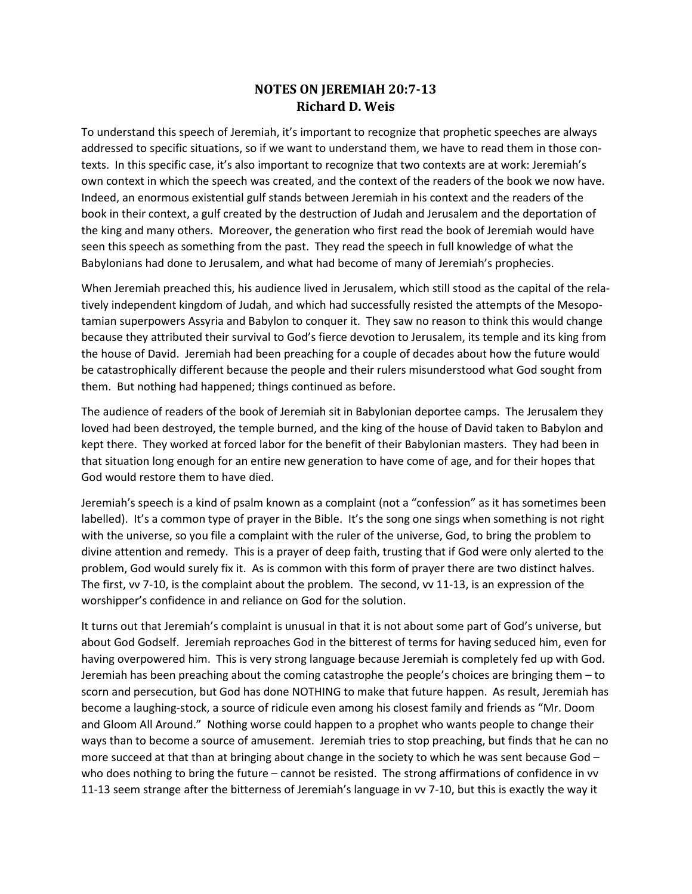## **NOTES ON JEREMIAH 20:7-13 Richard D. Weis**

To understand this speech of Jeremiah, it's important to recognize that prophetic speeches are always addressed to specific situations, so if we want to understand them, we have to read them in those contexts. In this specific case, it's also important to recognize that two contexts are at work: Jeremiah's own context in which the speech was created, and the context of the readers of the book we now have. Indeed, an enormous existential gulf stands between Jeremiah in his context and the readers of the book in their context, a gulf created by the destruction of Judah and Jerusalem and the deportation of the king and many others. Moreover, the generation who first read the book of Jeremiah would have seen this speech as something from the past. They read the speech in full knowledge of what the Babylonians had done to Jerusalem, and what had become of many of Jeremiah's prophecies.

When Jeremiah preached this, his audience lived in Jerusalem, which still stood as the capital of the relatively independent kingdom of Judah, and which had successfully resisted the attempts of the Mesopotamian superpowers Assyria and Babylon to conquer it. They saw no reason to think this would change because they attributed their survival to God's fierce devotion to Jerusalem, its temple and its king from the house of David. Jeremiah had been preaching for a couple of decades about how the future would be catastrophically different because the people and their rulers misunderstood what God sought from them. But nothing had happened; things continued as before.

The audience of readers of the book of Jeremiah sit in Babylonian deportee camps. The Jerusalem they loved had been destroyed, the temple burned, and the king of the house of David taken to Babylon and kept there. They worked at forced labor for the benefit of their Babylonian masters. They had been in that situation long enough for an entire new generation to have come of age, and for their hopes that God would restore them to have died.

Jeremiah's speech is a kind of psalm known as a complaint (not a "confession" as it has sometimes been labelled). It's a common type of prayer in the Bible. It's the song one sings when something is not right with the universe, so you file a complaint with the ruler of the universe, God, to bring the problem to divine attention and remedy. This is a prayer of deep faith, trusting that if God were only alerted to the problem, God would surely fix it. As is common with this form of prayer there are two distinct halves. The first, vv 7-10, is the complaint about the problem. The second, vv 11-13, is an expression of the worshipper's confidence in and reliance on God for the solution.

It turns out that Jeremiah's complaint is unusual in that it is not about some part of God's universe, but about God Godself. Jeremiah reproaches God in the bitterest of terms for having seduced him, even for having overpowered him. This is very strong language because Jeremiah is completely fed up with God. Jeremiah has been preaching about the coming catastrophe the people's choices are bringing them – to scorn and persecution, but God has done NOTHING to make that future happen. As result, Jeremiah has become a laughing-stock, a source of ridicule even among his closest family and friends as "Mr. Doom and Gloom All Around." Nothing worse could happen to a prophet who wants people to change their ways than to become a source of amusement. Jeremiah tries to stop preaching, but finds that he can no more succeed at that than at bringing about change in the society to which he was sent because God who does nothing to bring the future – cannot be resisted. The strong affirmations of confidence in vv 11-13 seem strange after the bitterness of Jeremiah's language in vv 7-10, but this is exactly the way it